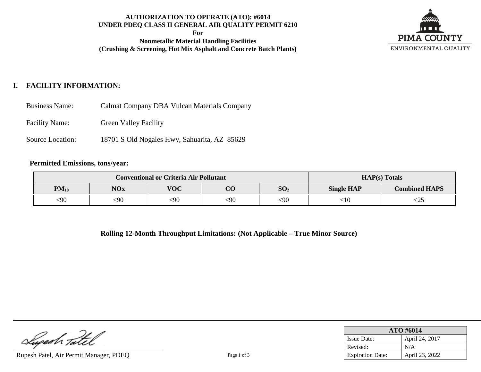## **AUTHORIZATION TO OPERATE (ATO): #6014 UNDER PDEQ CLASS II GENERAL AIR QUALITY PERMIT 6210**

**For**

**Nonmetallic Material Handling Facilities (Crushing & Screening, Hot Mix Asphalt and Concrete Batch Plants)**



# **I. FACILITY INFORMATION:**

| <b>Business Name:</b> |  | Calmat Company DBA Vulcan Materials Company |
|-----------------------|--|---------------------------------------------|
|-----------------------|--|---------------------------------------------|

Facility Name: Green Valley Facility

Source Location: 18701 S Old Nogales Hwy, Sahuarita, AZ 85629

#### **Permitted Emissions, tons/year:**

|           | <b>Conventional or Criteria Air Pollutant</b> |            | $HAP(s)$ Totals |                 |                   |                      |
|-----------|-----------------------------------------------|------------|-----------------|-----------------|-------------------|----------------------|
| $PM_{10}$ | <b>NOx</b>                                    | <b>VOC</b> | റ്റ             | SO <sub>2</sub> | <b>Single HAP</b> | <b>Combined HAPS</b> |
| <90       | <90                                           | $90$       | <90             | $90$            | <10               | <23                  |

**Rolling 12-Month Throughput Limitations: (Not Applicable – True Minor Source)**

Luperh Tatel

Rupesh Patel, Air Permit Manager, PDEQ Page 1 of 3

| ATO #6014               |                |  |  |  |
|-------------------------|----------------|--|--|--|
| <b>Issue Date:</b>      | April 24, 2017 |  |  |  |
| Revised:                | N/A            |  |  |  |
| <b>Expiration Date:</b> | April 23, 2022 |  |  |  |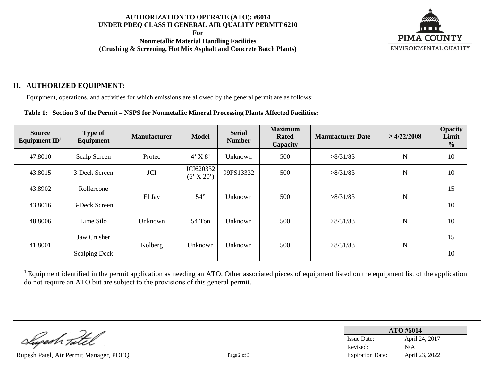## **AUTHORIZATION TO OPERATE (ATO): #6014 UNDER PDEQ CLASS II GENERAL AIR QUALITY PERMIT 6210**

**For**

**Nonmetallic Material Handling Facilities (Crushing & Screening, Hot Mix Asphalt and Concrete Batch Plants)**



## **II. AUTHORIZED EQUIPMENT:**

Equipment, operations, and activities for which emissions are allowed by the general permit are as follows:

### **Table 1: Section 3 of the Permit – NSPS for Nonmetallic Mineral Processing Plants Affected Facilities:**

| <b>Source</b><br>Equipment $ID1$ | <b>Type of</b><br><b>Equipment</b> | <b>Manufacturer</b> | <b>Model</b>            | <b>Maximum</b><br><b>Serial</b><br><b>Rated</b><br><b>Number</b><br>Capacity |     | <b>Manufacturer Date</b> | $\geq 4/22/2008$ | <b>Opacity</b><br>Limit<br>$\frac{0}{0}$ |
|----------------------------------|------------------------------------|---------------------|-------------------------|------------------------------------------------------------------------------|-----|--------------------------|------------------|------------------------------------------|
| 47.8010                          | Scalp Screen                       | Protec              | $4'$ X $8'$             | Unknown                                                                      | 500 | >8/31/83                 | N                | 10                                       |
| 43.8015                          | 3-Deck Screen                      | <b>JCI</b>          | JCI620332<br>(6' X 20') | 99FS13332                                                                    | 500 | >8/31/83                 | N                | 10                                       |
| 43.8902                          | Rollercone                         |                     | 54"                     | Unknown                                                                      | 500 | >8/31/83                 | N                | 15                                       |
| 43.8016                          | 3-Deck Screen                      | El Jay              |                         |                                                                              |     |                          |                  | 10                                       |
| 48.8006                          | Lime Silo                          | Unknown             | 54 Ton                  | Unknown                                                                      | 500 | >8/31/83                 | N                | 10                                       |
|                                  | Jaw Crusher                        |                     |                         |                                                                              |     |                          |                  | 15                                       |
| 41.8001                          | <b>Scalping Deck</b>               | Kolberg             | Unknown                 | Unknown                                                                      | 500 | >8/31/83                 | N                | 10                                       |

 $1$  Equipment identified in the permit application as needing an ATO. Other associated pieces of equipment listed on the equipment list of the application do not require an ATO but are subject to the provisions of this general permit.

Superh Tatel

Rupesh Patel, Air Permit Manager, PDEO Page 2 of 3

| ATO #6014               |                |  |  |  |
|-------------------------|----------------|--|--|--|
| <b>Issue Date:</b>      | April 24, 2017 |  |  |  |
| Revised:                | N/A            |  |  |  |
| <b>Expiration Date:</b> | April 23, 2022 |  |  |  |